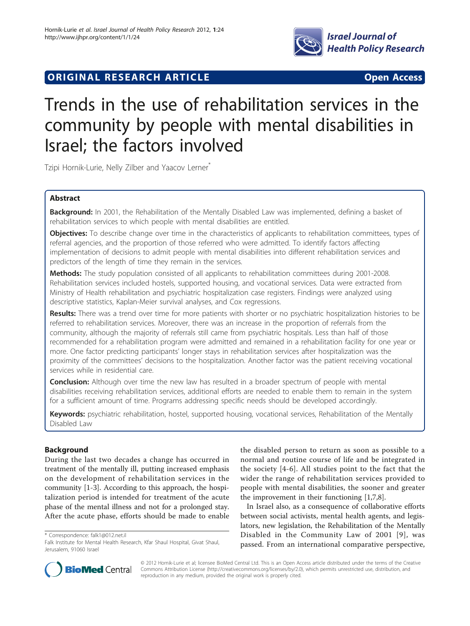

## **ORIGINAL RESEARCH ARTICLE CONSUMING ACCESS**

# Trends in the use of rehabilitation services in the community by people with mental disabilities in Israel; the factors involved

Tzipi Hornik-Lurie, Nelly Zilber and Yaacov Lerner<sup>\*</sup>

## Abstract

Background: In 2001, the Rehabilitation of the Mentally Disabled Law was implemented, defining a basket of rehabilitation services to which people with mental disabilities are entitled.

**Objectives:** To describe change over time in the characteristics of applicants to rehabilitation committees, types of referral agencies, and the proportion of those referred who were admitted. To identify factors affecting implementation of decisions to admit people with mental disabilities into different rehabilitation services and predictors of the length of time they remain in the services.

Methods: The study population consisted of all applicants to rehabilitation committees during 2001-2008. Rehabilitation services included hostels, supported housing, and vocational services. Data were extracted from Ministry of Health rehabilitation and psychiatric hospitalization case registers. Findings were analyzed using descriptive statistics, Kaplan-Meier survival analyses, and Cox regressions.

Results: There was a trend over time for more patients with shorter or no psychiatric hospitalization histories to be referred to rehabilitation services. Moreover, there was an increase in the proportion of referrals from the community, although the majority of referrals still came from psychiatric hospitals. Less than half of those recommended for a rehabilitation program were admitted and remained in a rehabilitation facility for one year or more. One factor predicting participants' longer stays in rehabilitation services after hospitalization was the proximity of the committees' decisions to the hospitalization. Another factor was the patient receiving vocational services while in residential care.

**Conclusion:** Although over time the new law has resulted in a broader spectrum of people with mental disabilities receiving rehabilitation services, additional efforts are needed to enable them to remain in the system for a sufficient amount of time. Programs addressing specific needs should be developed accordingly.

Keywords: psychiatric rehabilitation, hostel, supported housing, vocational services, Rehabilitation of the Mentally Disabled Law

## Background

During the last two decades a change has occurred in treatment of the mentally ill, putting increased emphasis on the development of rehabilitation services in the community [[1](#page-7-0)-[3\]](#page-7-0). According to this approach, the hospitalization period is intended for treatment of the acute phase of the mental illness and not for a prolonged stay. After the acute phase, efforts should be made to enable

\* Correspondence: [falk1@012.net.il](mailto:falk1@012.net.il)

the disabled person to return as soon as possible to a normal and routine course of life and be integrated in the society [[4](#page-7-0)-[6\]](#page-7-0). All studies point to the fact that the wider the range of rehabilitation services provided to people with mental disabilities, the sooner and greater the improvement in their functioning [\[1,7,8\]](#page-7-0).

In Israel also, as a consequence of collaborative efforts between social activists, mental health agents, and legislators, new legislation, the Rehabilitation of the Mentally Disabled in the Community Law of 2001 [[9\]](#page-7-0), was passed. From an international comparative perspective,



© 2012 Hornik-Lurie et al; licensee BioMed Central Ltd. This is an Open Access article distributed under the terms of the Creative Commons Attribution License [\(http://creativecommons.org/licenses/by/2.0](http://creativecommons.org/licenses/by/2.0)), which permits unrestricted use, distribution, and reproduction in any medium, provided the original work is properly cited.

Falk Institute for Mental Health Research, Kfar Shaul Hospital, Givat Shaul, Jerusalem, 91060 Israel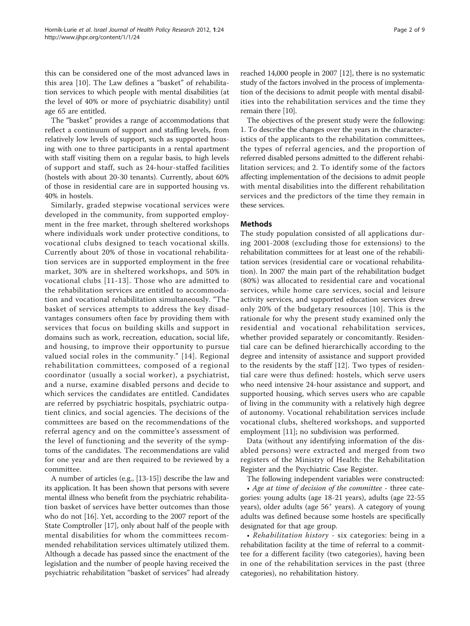this can be considered one of the most advanced laws in this area [\[10](#page-7-0)]. The Law defines a "basket" of rehabilitation services to which people with mental disabilities (at the level of 40% or more of psychiatric disability) until age 65 are entitled.

The "basket" provides a range of accommodations that reflect a continuum of support and staffing levels, from relatively low levels of support, such as supported housing with one to three participants in a rental apartment with staff visiting them on a regular basis, to high levels of support and staff, such as 24-hour-staffed facilities (hostels with about 20-30 tenants). Currently, about 60% of those in residential care are in supported housing vs. 40% in hostels.

Similarly, graded stepwise vocational services were developed in the community, from supported employment in the free market, through sheltered workshops where individuals work under protective conditions, to vocational clubs designed to teach vocational skills. Currently about 20% of those in vocational rehabilitation services are in supported employment in the free market, 30% are in sheltered workshops, and 50% in vocational clubs [[11-13](#page-7-0)]. Those who are admitted to the rehabilitation services are entitled to accommodation and vocational rehabilitation simultaneously. "The basket of services attempts to address the key disadvantages consumers often face by providing them with services that focus on building skills and support in domains such as work, recreation, education, social life, and housing, to improve their opportunity to pursue valued social roles in the community." [\[14\]](#page-7-0). Regional rehabilitation committees, composed of a regional coordinator (usually a social worker), a psychiatrist, and a nurse, examine disabled persons and decide to which services the candidates are entitled. Candidates are referred by psychiatric hospitals, psychiatric outpatient clinics, and social agencies. The decisions of the committees are based on the recommendations of the referral agency and on the committee's assessment of the level of functioning and the severity of the symptoms of the candidates. The recommendations are valid for one year and are then required to be reviewed by a committee.

A number of articles (e.g., [[13](#page-7-0)-[15](#page-8-0)]) describe the law and its application. It has been shown that persons with severe mental illness who benefit from the psychiatric rehabilitation basket of services have better outcomes than those who do not [[16\]](#page-8-0). Yet, according to the 2007 report of the State Comptroller [\[17](#page-8-0)], only about half of the people with mental disabilities for whom the committees recommended rehabilitation services ultimately utilized them. Although a decade has passed since the enactment of the legislation and the number of people having received the psychiatric rehabilitation "basket of services" had already reached 14,000 people in 2007 [\[12](#page-7-0)], there is no systematic study of the factors involved in the process of implementation of the decisions to admit people with mental disabilities into the rehabilitation services and the time they remain there [\[10](#page-7-0)].

The objectives of the present study were the following: 1. To describe the changes over the years in the characteristics of the applicants to the rehabilitation committees, the types of referral agencies, and the proportion of referred disabled persons admitted to the different rehabilitation services; and 2. To identify some of the factors affecting implementation of the decisions to admit people with mental disabilities into the different rehabilitation services and the predictors of the time they remain in these services.

#### Methods

The study population consisted of all applications during 2001-2008 (excluding those for extensions) to the rehabilitation committees for at least one of the rehabilitation services (residential care or vocational rehabilitation). In 2007 the main part of the rehabilitation budget (80%) was allocated to residential care and vocational services, while home care services, social and leisure activity services, and supported education services drew only 20% of the budgetary resources [[10](#page-7-0)]. This is the rationale for why the present study examined only the residential and vocational rehabilitation services, whether provided separately or concomitantly. Residential care can be defined hierarchically according to the degree and intensity of assistance and support provided to the residents by the staff [[12\]](#page-7-0). Two types of residential care were thus defined: hostels, which serve users who need intensive 24-hour assistance and support, and supported housing, which serves users who are capable of living in the community with a relatively high degree of autonomy. Vocational rehabilitation services include vocational clubs, sheltered workshops, and supported employment [[11\]](#page-7-0); no subdivision was performed.

Data (without any identifying information of the disabled persons) were extracted and merged from two registers of the Ministry of Health: the Rehabilitation Register and the Psychiatric Case Register.

The following independent variables were constructed: • Age at time of decision of the committee - three categories: young adults (age 18-21 years), adults (age 22-55 years), older adults (age  $56<sup>+</sup>$  years). A category of young adults was defined because some hostels are specifically designated for that age group.

• Rehabilitation history - six categories: being in a rehabilitation facility at the time of referral to a committee for a different facility (two categories), having been in one of the rehabilitation services in the past (three categories), no rehabilitation history.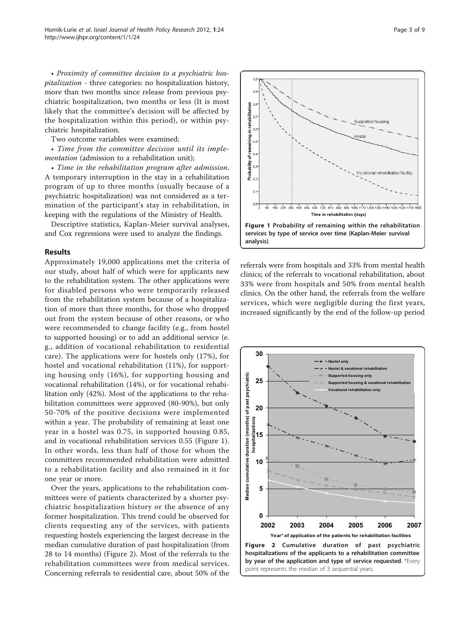• Proximity of committee decision to a psychiatric hospitalization - three categories: no hospitalization history, more than two months since release from previous psychiatric hospitalization, two months or less (It is most likely that the committee's decision will be affected by the hospitalization within this period), or within psychiatric hospitalization.

Two outcome variables were examined:

• Time from the committee decision until its implementation (admission to a rehabilitation unit);

• Time in the rehabilitation program after admission. A temporary interruption in the stay in a rehabilitation program of up to three months (usually because of a psychiatric hospitalization) was not considered as a termination of the participant's stay in rehabilitation, in keeping with the regulations of the Ministry of Health.

Descriptive statistics, Kaplan-Meier survival analyses, and Cox regressions were used to analyze the findings.

#### Results

Approximately 19,000 applications met the criteria of our study, about half of which were for applicants new to the rehabilitation system. The other applications were for disabled persons who were temporarily released from the rehabilitation system because of a hospitalization of more than three months, for those who dropped out from the system because of other reasons, or who were recommended to change facility (e.g., from hostel to supported housing) or to add an additional service (e. g., addition of vocational rehabilitation to residential care). The applications were for hostels only (17%), for hostel and vocational rehabilitation (11%), for supporting housing only (16%), for supporting housing and vocational rehabilitation (14%), or for vocational rehabilitation only (42%). Most of the applications to the rehabilitation committees were approved (80-90%), but only 50-70% of the positive decisions were implemented within a year. The probability of remaining at least one year in a hostel was 0.75, in supported housing 0.85, and in vocational rehabilitation services 0.55 (Figure 1). In other words, less than half of those for whom the committees recommended rehabilitation were admitted to a rehabilitation facility and also remained in it for one year or more.

Over the years, applications to the rehabilitation committees were of patients characterized by a shorter psychiatric hospitalization history or the absence of any former hospitalization. This trend could be observed for clients requesting any of the services, with patients requesting hostels experiencing the largest decrease in the median cumulative duration of past hospitalization (from 28 to 14 months) (Figure 2). Most of the referrals to the rehabilitation committees were from medical services. Concerning referrals to residential care, about 50% of the

referrals were from hospitals and 33% from mental health clinics; of the referrals to vocational rehabilitation, about 33% were from hospitals and 50% from mental health clinics. On the other hand, the referrals from the welfare services, which were negligible during the first years, increased significantly by the end of the follow-up period



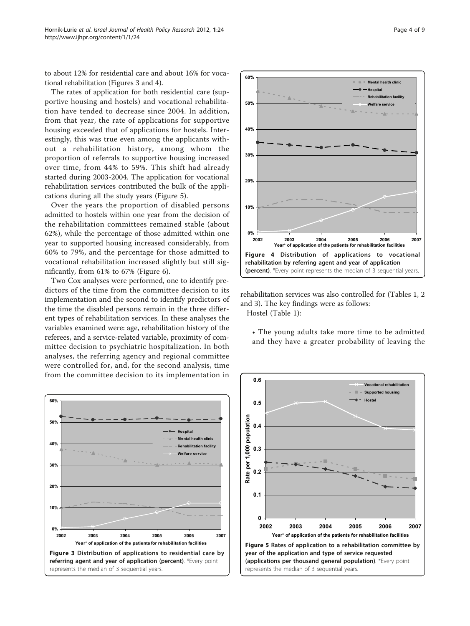to about 12% for residential care and about 16% for vocational rehabilitation (Figures 3 and 4).

The rates of application for both residential care (supportive housing and hostels) and vocational rehabilitation have tended to decrease since 2004. In addition, from that year, the rate of applications for supportive housing exceeded that of applications for hostels. Interestingly, this was true even among the applicants without a rehabilitation history, among whom the proportion of referrals to supportive housing increased over time, from 44% to 59%. This shift had already started during 2003-2004. The application for vocational rehabilitation services contributed the bulk of the applications during all the study years (Figure 5).

Over the years the proportion of disabled persons admitted to hostels within one year from the decision of the rehabilitation committees remained stable (about 62%), while the percentage of those admitted within one year to supported housing increased considerably, from 60% to 79%, and the percentage for those admitted to vocational rehabilitation increased slightly but still significantly, from 61% to 67% (Figure [6\)](#page-4-0).

Two Cox analyses were performed, one to identify predictors of the time from the committee decision to its implementation and the second to identify predictors of the time the disabled persons remain in the three different types of rehabilitation services. In these analyses the variables examined were: age, rehabilitation history of the referees, and a service-related variable, proximity of committee decision to psychiatric hospitalization. In both analyses, the referring agency and regional committee were controlled for, and, for the second analysis, time from the committee decision to its implementation in





rehabilitation services was also controlled for (Tables [1,](#page-4-0) [2](#page-5-0) and [3](#page-5-0)). The key findings were as follows: Hostel (Table [1\)](#page-4-0):

• The young adults take more time to be admitted and they have a greater probability of leaving the

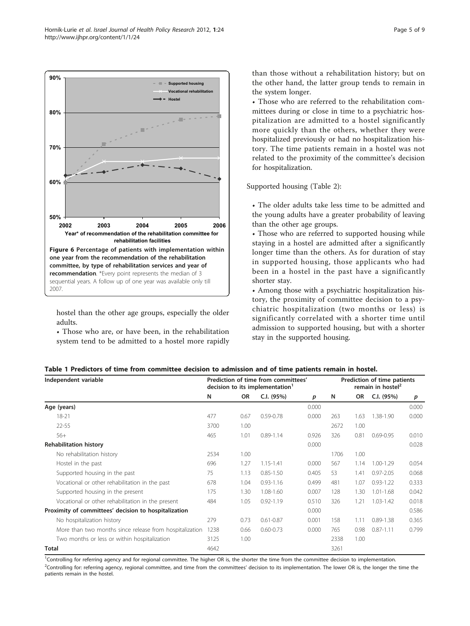<span id="page-4-0"></span>**90%**



hostel than the other age groups, especially the older adults.

• Those who are, or have been, in the rehabilitation system tend to be admitted to a hostel more rapidly than those without a rehabilitation history; but on the other hand, the latter group tends to remain in the system longer.

• Those who are referred to the rehabilitation committees during or close in time to a psychiatric hospitalization are admitted to a hostel significantly more quickly than the others, whether they were hospitalized previously or had no hospitalization history. The time patients remain in a hostel was not related to the proximity of the committee's decision for hospitalization.

Supported housing (Table [2\)](#page-5-0):

• The older adults take less time to be admitted and the young adults have a greater probability of leaving than the other age groups.

• Those who are referred to supported housing while staying in a hostel are admitted after a significantly longer time than the others. As for duration of stay in supported housing, those applicants who had been in a hostel in the past have a significantly shorter stay.

• Among those with a psychiatric hospitalization history, the proximity of committee decision to a psychiatric hospitalization (two months or less) is significantly correlated with a shorter time until admission to supported housing, but with a shorter stay in the supported housing.

|  | Table 1 Predictors of time from committee decision to admission and of time patients remain in hostel. |  |  |  |  |  |
|--|--------------------------------------------------------------------------------------------------------|--|--|--|--|--|
|  |                                                                                                        |  |  |  |  |  |

| Independent variable                                    |      | Prediction of time from committees'<br>decision to its implementation |               |       |      |      | Prediction of time patients<br>remain in hostel <sup>2</sup> |       |  |  |
|---------------------------------------------------------|------|-----------------------------------------------------------------------|---------------|-------|------|------|--------------------------------------------------------------|-------|--|--|
|                                                         | N    | OR                                                                    | C.I. (95%)    | р     | N    | OR   | C.I. (95%)                                                   | p     |  |  |
| Age (years)                                             |      |                                                                       |               | 0.000 |      |      |                                                              | 0.000 |  |  |
| $18 - 21$                                               | 477  | 0.67                                                                  | $0.59 - 0.78$ | 0.000 | 263  | 1.63 | 1.38-1.90                                                    | 0.000 |  |  |
| $22 - 55$                                               | 3700 | 1.00                                                                  |               |       | 2672 | 1.00 |                                                              |       |  |  |
| $56+$                                                   | 465  | 1.01                                                                  | $0.89 - 1.14$ | 0.926 | 326  | 0.81 | $0.69 - 0.95$                                                | 0.010 |  |  |
| <b>Rehabilitation history</b>                           |      |                                                                       |               | 0.000 |      |      |                                                              | 0.028 |  |  |
| No rehabilitation history                               | 2534 | 1.00                                                                  |               |       | 1706 | 1.00 |                                                              |       |  |  |
| Hostel in the past                                      | 696  | 1.27                                                                  | $1.15 - 1.41$ | 0.000 | 567  | 1.14 | 1.00-1.29                                                    | 0.054 |  |  |
| Supported housing in the past                           | 75   | 1.13                                                                  | $0.85 - 1.50$ | 0.405 | 53   | 1.41 | $0.97 - 2.05$                                                | 0.068 |  |  |
| Vocational or other rehabilitation in the past          | 678  | 1.04                                                                  | $0.93 - 1.16$ | 0.499 | 481  | 1.07 | $0.93 - 1.22$                                                | 0.333 |  |  |
| Supported housing in the present                        | 175  | 1.30                                                                  | $1.08 - 1.60$ | 0.007 | 128  | 1.30 | $1.01 - 1.68$                                                | 0.042 |  |  |
| Vocational or other rehabilitation in the present       | 484  | 1.05                                                                  | $0.92 - 1.19$ | 0.510 | 326  | 1.21 | $1.03 - 1.42$                                                | 0.018 |  |  |
| Proximity of committees' decision to hospitalization    |      |                                                                       |               | 0.000 |      |      |                                                              | 0.586 |  |  |
| No hospitalization history                              | 279  | 0.73                                                                  | $0.61 - 0.87$ | 0.001 | 158  | 1.11 | $0.89 - 1.38$                                                | 0.365 |  |  |
| More than two months since release from hospitalization | 1238 | 0.66                                                                  | $0.60 - 0.73$ | 0.000 | 765  | 0.98 | $0.87 - 1.11$                                                | 0.799 |  |  |
| Two months or less or within hospitalization            | 3125 | 1.00                                                                  |               |       | 2338 | 1.00 |                                                              |       |  |  |
| <b>Total</b>                                            |      |                                                                       |               |       | 3261 |      |                                                              |       |  |  |

<sup>1</sup>Controlling for referring agency and for regional committee. The higher OR is, the shorter the time from the committee decision to implementation. <sup>2</sup>Controlling for: referring agency, regional committee, and time from the committees' decision to its implementation. The lower OR is, the longer the time the

patients remain in the hostel.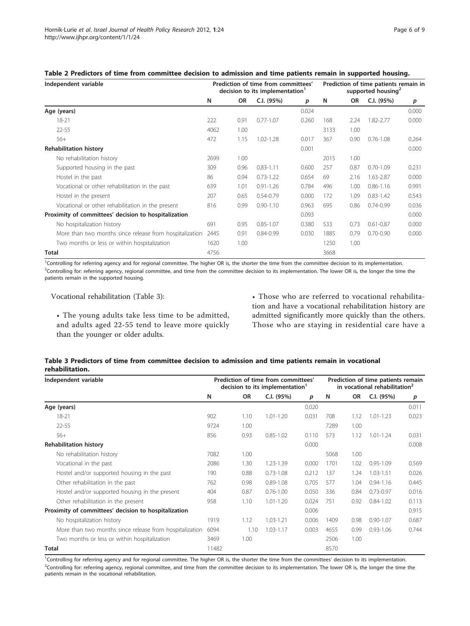| Independent variable                                    |      |           | Prediction of time from committees'<br>decision to its implementation | Prediction of time patients remain in<br>supported housing <sup>2</sup> |      |           |               |       |
|---------------------------------------------------------|------|-----------|-----------------------------------------------------------------------|-------------------------------------------------------------------------|------|-----------|---------------|-------|
|                                                         | N    | <b>OR</b> | C.I. (95%)                                                            | p                                                                       | N    | <b>OR</b> | C.I. (95%)    | р     |
| Age (years)                                             |      |           |                                                                       | 0.024                                                                   |      |           |               | 0.000 |
| $18 - 21$                                               | 222  | 0.91      | $0.77 - 1.07$                                                         | 0.260                                                                   | 168  | 2.24      | 1.82-2.77     | 0.000 |
| $22 - 55$                                               | 4062 | 1.00      |                                                                       |                                                                         | 3133 | 1.00      |               |       |
| $56+$                                                   | 472  | 1.15      | $1.02 - 1.28$                                                         | 0.017                                                                   | 367  | 0.90      | $0.76 - 1.08$ | 0.264 |
| <b>Rehabilitation history</b>                           |      |           |                                                                       | 0.001                                                                   |      |           |               | 0.000 |
| No rehabilitation history                               | 2699 | 1.00      |                                                                       |                                                                         | 2015 | 1.00      |               |       |
| Supported housing in the past                           | 309  | 0.96      | $0.83 - 1.11$                                                         | 0.600                                                                   | 257  | 0.87      | $0.70 - 1.09$ | 0.231 |
| Hostel in the past                                      | 86   | 0.94      | $0.73 - 1.22$                                                         | 0.654                                                                   | 69   | 2.16      | 1.63-2.87     | 0.000 |
| Vocational or other rehabilitation in the past          | 639  | 1.01      | $0.91 - 1.26$                                                         | 0.784                                                                   | 496  | 1.00      | $0.86 - 1.16$ | 0.991 |
| Hostel in the present                                   | 207  | 0.65      | $0.54 - 0.79$                                                         | 0.000                                                                   | 172  | 1.09      | $0.83 - 1.42$ | 0.543 |
| Vocational or other rehabilitation in the present       | 816  | 0.99      | $0.90 - 1.10$                                                         | 0.963                                                                   | 695  | 0.86      | $0.74 - 0.99$ | 0.036 |
| Proximity of committees' decision to hospitalization    |      |           |                                                                       | 0.093                                                                   |      |           |               | 0.000 |
| No hospitalization history                              | 691  | 0.95      | $0.85 - 1.07$                                                         | 0.380                                                                   | 533  | 0.73      | $0.61 - 0.87$ | 0.000 |
| More than two months since release from hospitalization | 2445 | 0.91      | $0.84 - 0.99$                                                         | 0.030                                                                   | 1885 | 0.79      | $0.70 - 0.90$ | 0.000 |
| Two months or less or within hospitalization            | 1620 | 1.00      |                                                                       |                                                                         | 1250 | 1.00      |               |       |
| Total                                                   | 4756 |           |                                                                       |                                                                         | 3668 |           |               |       |

#### <span id="page-5-0"></span>Table 2 Predictors of time from committee decision to admission and time patients remain in supported housing.

<sup>1</sup>Controlling for referring agency and for regional committee. The higher OR is, the shorter the time from the committee decision to its implementation. <sup>2</sup>Controlling for: referring agency, regional committee, and time from the committee decision to its implementation. The lower OR is, the longer the time the patients remain in the supported housing.

Vocational rehabilitation (Table 3):

• The young adults take less time to be admitted, and adults aged 22-55 tend to leave more quickly than the younger or older adults.

• Those who are referred to vocational rehabilitation and have a vocational rehabilitation history are admitted significantly more quickly than the others. Those who are staying in residential care have a

### Table 3 Predictors of time from committee decision to admission and time patients remain in vocational rehabilitation.

| Independent variable                                    |      | Prediction of time from committees'<br>decision to its implementation <sup>1</sup> |               |       |      | Prediction of time patients remain<br>in vocational rehabilitation <sup>2</sup> |               |       |  |
|---------------------------------------------------------|------|------------------------------------------------------------------------------------|---------------|-------|------|---------------------------------------------------------------------------------|---------------|-------|--|
|                                                         | N    | <b>OR</b>                                                                          | C.I. (95%)    | p     | N    | OR                                                                              | C.I. (95%)    | p     |  |
| Age (years)                                             |      |                                                                                    |               | 0.020 |      |                                                                                 |               | 0.011 |  |
| $18 - 21$                                               | 902  | 1.10                                                                               | $1.01 - 1.20$ | 0.031 | 708  | 1.12                                                                            | $1.01 - 1.23$ | 0.023 |  |
| $22 - 55$                                               | 9724 | 1.00                                                                               |               |       | 7289 | 1.00                                                                            |               |       |  |
| $56+$                                                   | 856  | 0.93                                                                               | $0.85 - 1.02$ | 0.110 | 573  | 1.12                                                                            | $1.01 - 1.24$ | 0.031 |  |
| <b>Rehabilitation history</b>                           |      |                                                                                    |               | 0.000 |      |                                                                                 |               | 0.008 |  |
| No rehabilitation history                               | 7082 | 1.00                                                                               |               |       | 5068 | 1.00                                                                            |               |       |  |
| Vocational in the past                                  | 2086 | 1.30                                                                               | 1.23-1.39     | 0.000 | 1701 | 1.02                                                                            | $0.95 - 1.09$ | 0.569 |  |
| Hostel and/or supported housing in the past             | 190  | 0.88                                                                               | $0.73 - 1.08$ | 0.212 | 137  | 1.24                                                                            | $1.03 - 1.51$ | 0.026 |  |
| Other rehabilitation in the past                        | 762  | 0.98                                                                               | $0.89 - 1.08$ | 0.705 | 577  | 1.04                                                                            | $0.94 - 1.16$ | 0.445 |  |
| Hostel and/or supported housing in the present          | 404  | 0.87                                                                               | $0.76 - 1.00$ | 0.050 | 336  | 0.84                                                                            | $0.73 - 0.97$ | 0.016 |  |
| Other rehabilitation in the present                     | 958  | 1.10                                                                               | $1.01 - 1.20$ | 0.024 | 751  | 0.92                                                                            | $0.84 - 1.02$ | 0.113 |  |
| Proximity of committees' decision to hospitalization    |      |                                                                                    |               | 0.006 |      |                                                                                 |               | 0.915 |  |
| No hospitalization history                              | 1919 | 1.12                                                                               | $1.03 - 1.21$ | 0.006 | 1409 | 0.98                                                                            | $0.90 - 1.07$ | 0.687 |  |
| More than two months since release from hospitalization | 6094 | 1.10                                                                               | $1.03 - 1.17$ | 0.003 | 4655 | 0.99                                                                            | $0.93 - 1.06$ | 0.744 |  |
| Two months or less or within hospitalization            | 3469 | 1.00                                                                               |               |       | 2506 | 1.00                                                                            |               |       |  |
| <b>Total</b>                                            |      |                                                                                    |               |       | 8570 |                                                                                 |               |       |  |

<sup>1</sup>Controlling for referring agency and for regional committee. The higher OR is, the shorter the time from the committees' decision to its implementation. <sup>2</sup>Controlling for: referring agency, regional committee, and time from the committee decision to its implementation. The lower OR is, the longer the time the patients remain in the vocational rehabilitation.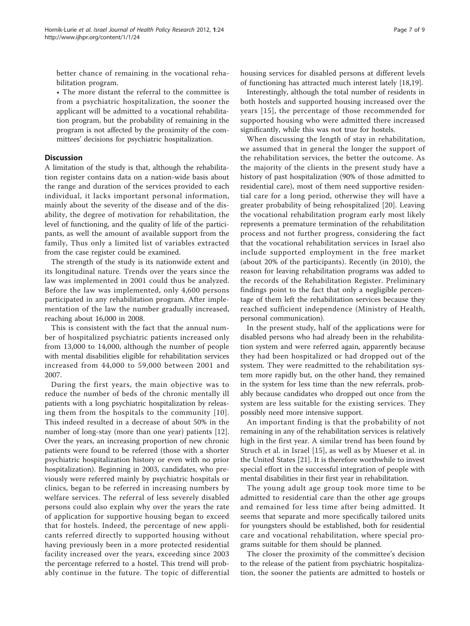better chance of remaining in the vocational rehabilitation program.

• The more distant the referral to the committee is from a psychiatric hospitalization, the sooner the applicant will be admitted to a vocational rehabilitation program, but the probability of remaining in the program is not affected by the proximity of the committees' decisions for psychiatric hospitalization.

## **Discussion**

A limitation of the study is that, although the rehabilitation register contains data on a nation-wide basis about the range and duration of the services provided to each individual, it lacks important personal information, mainly about the severity of the disease and of the disability, the degree of motivation for rehabilitation, the level of functioning, and the quality of life of the participants, as well the amount of available support from the family, Thus only a limited list of variables extracted from the case register could be examined.

The strength of the study is its nationwide extent and its longitudinal nature. Trends over the years since the law was implemented in 2001 could thus be analyzed. Before the law was implemented, only 4,600 persons participated in any rehabilitation program. After implementation of the law the number gradually increased, reaching about 16,000 in 2008.

This is consistent with the fact that the annual number of hospitalized psychiatric patients increased only from 13,000 to 14,000, although the number of people with mental disabilities eligible for rehabilitation services increased from 44,000 to 59,000 between 2001 and 2007.

During the first years, the main objective was to reduce the number of beds of the chronic mentally ill patients with a long psychiatric hospitalization by releasing them from the hospitals to the community [[10\]](#page-7-0). This indeed resulted in a decrease of about 50% in the number of long-stay (more than one year) patients [\[12](#page-7-0)]. Over the years, an increasing proportion of new chronic patients were found to be referred (those with a shorter psychiatric hospitalization history or even with no prior hospitalization). Beginning in 2003, candidates, who previously were referred mainly by psychiatric hospitals or clinics, began to be referred in increasing numbers by welfare services. The referral of less severely disabled persons could also explain why over the years the rate of application for supportive housing began to exceed that for hostels. Indeed, the percentage of new applicants referred directly to supported housing without having previously been in a more protected residential facility increased over the years, exceeding since 2003 the percentage referred to a hostel. This trend will probably continue in the future. The topic of differential housing services for disabled persons at different levels of functioning has attracted much interest lately [\[18,19\]](#page-8-0).

Interestingly, although the total number of residents in both hostels and supported housing increased over the years [[15](#page-8-0)], the percentage of those recommended for supported housing who were admitted there increased significantly, while this was not true for hostels.

When discussing the length of stay in rehabilitation, we assumed that in general the longer the support of the rehabilitation services, the better the outcome. As the majority of the clients in the present study have a history of past hospitalization (90% of those admitted to residential care), most of them need supportive residential care for a long period, otherwise they will have a greater probability of being rehospitalized [[20\]](#page-8-0). Leaving the vocational rehabilitation program early most likely represents a premature termination of the rehabilitation process and not further progress, considering the fact that the vocational rehabilitation services in Israel also include supported employment in the free market (about 20% of the participants). Recently (in 2010), the reason for leaving rehabilitation programs was added to the records of the Rehabilitation Register. Preliminary findings point to the fact that only a negligible percentage of them left the rehabilitation services because they reached sufficient independence (Ministry of Health, personal communication).

In the present study, half of the applications were for disabled persons who had already been in the rehabilitation system and were referred again, apparently because they had been hospitalized or had dropped out of the system. They were readmitted to the rehabilitation system more rapidly but, on the other hand, they remained in the system for less time than the new referrals, probably because candidates who dropped out once from the system are less suitable for the existing services. They possibly need more intensive support.

An important finding is that the probability of not remaining in any of the rehabilitation services is relatively high in the first year. A similar trend has been found by Struch et al. in Israel [[15\]](#page-8-0), as well as by Mueser et al. in the United States [\[21](#page-8-0)]. It is therefore worthwhile to invest special effort in the successful integration of people with mental disabilities in their first year in rehabilitation.

The young adult age group took more time to be admitted to residential care than the other age groups and remained for less time after being admitted. It seems that separate and more specifically tailored units for youngsters should be established, both for residential care and vocational rehabilitation, where special programs suitable for them should be planned.

The closer the proximity of the committee's decision to the release of the patient from psychiatric hospitalization, the sooner the patients are admitted to hostels or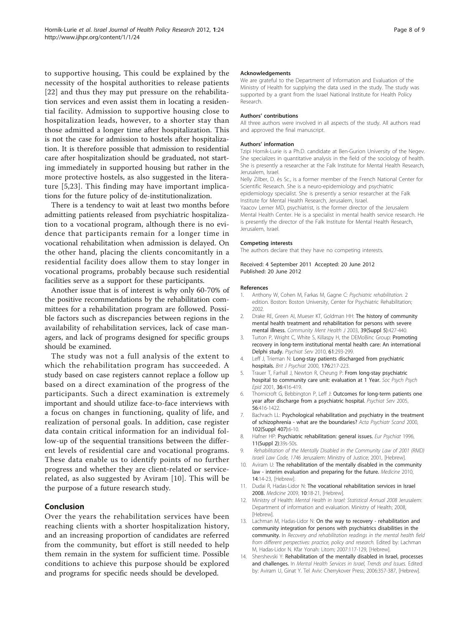<span id="page-7-0"></span>to supportive housing, This could be explained by the necessity of the hospital authorities to release patients [[22](#page-8-0)] and thus they may put pressure on the rehabilitation services and even assist them in locating a residential facility. Admission to supportive housing close to hospitalization leads, however, to a shorter stay than those admitted a longer time after hospitalization. This is not the case for admission to hostels after hospitalization. It is therefore possible that admission to residential care after hospitalization should be graduated, not starting immediately in supported housing but rather in the more protective hostels, as also suggested in the literature [5,[23\]](#page-8-0). This finding may have important implications for the future policy of de-institutionalization.

There is a tendency to wait at least two months before admitting patients released from psychiatric hospitalization to a vocational program, although there is no evidence that participants remain for a longer time in vocational rehabilitation when admission is delayed. On the other hand, placing the clients concomitantly in a residential facility does allow them to stay longer in vocational programs, probably because such residential facilities serve as a support for these participants.

Another issue that is of interest is why only 60-70% of the positive recommendations by the rehabilitation committees for a rehabilitation program are followed. Possible factors such as discrepancies between regions in the availability of rehabilitation services, lack of case managers, and lack of programs designed for specific groups should be examined.

The study was not a full analysis of the extent to which the rehabilitation program has succeeded. A study based on case registers cannot replace a follow up based on a direct examination of the progress of the participants. Such a direct examination is extremely important and should utilize face-to-face interviews with a focus on changes in functioning, quality of life, and realization of personal goals. In addition, case register data contain critical information for an individual follow-up of the sequential transitions between the different levels of residential care and vocational programs. These data enable us to identify points of no further progress and whether they are client-related or servicerelated, as also suggested by Aviram [10]. This will be the purpose of a future research study.

## Conclusion

Over the years the rehabilitation services have been reaching clients with a shorter hospitalization history, and an increasing proportion of candidates are referred from the community, but effort is still needed to help them remain in the system for sufficient time. Possible conditions to achieve this purpose should be explored and programs for specific needs should be developed.

#### Acknowledgements

We are grateful to the Department of Information and Evaluation of the Ministry of Health for supplying the data used in the study. The study was supported by a grant from the Israel National Institute for Health Policy Research.

#### Authors' contributions

All three authors were involved in all aspects of the study. All authors read and approved the final manuscript.

#### Authors' information

Tzipi Hornik-Lurie is a Ph.D. candidate at Ben-Gurion University of the Negev. She specializes in quantitative analysis in the field of the sociology of health. She is presently a researcher at the Falk Institute for Mental Health Research, Jerusalem, Israel.

Nelly Zilber, D. ès Sc., is a former member of the French National Center for Scientific Research. She is a neuro-epidemiology and psychiatric epidemiology specialist. She is presently a senior researcher at the Falk Institute for Mental Health Research, Jerusalem, Israel.

Yaacov Lerner MD, psychiatrist, is the former director of the Jerusalem Mental Health Center. He is a specialist in mental health service research. He is presently the director of the Falk Institute for Mental Health Research, Jerusalem, Israel.

#### Competing interests

The authors declare that they have no competing interests.

Received: 4 September 2011 Accepted: 20 June 2012 Published: 20 June 2012

#### References

- 1. Anthony W, Cohen M, Farkas M, Gagne C: Psychiatric rehabilitation. 2 edition. Boston: Boston University, Center for Psychiatric Rehabilitation; 2002.
- 2. Drake RE, Green AI, Mueser KT, Goldman HH: [The history of community](http://www.ncbi.nlm.nih.gov/pubmed/14635985?dopt=Abstract) [mental health treatment and rehabilitation for persons with severe](http://www.ncbi.nlm.nih.gov/pubmed/14635985?dopt=Abstract) [mental illness.](http://www.ncbi.nlm.nih.gov/pubmed/14635985?dopt=Abstract) Community Ment Health J 2003, 39(Suppl 5):427-440.
- 3. Turton P, Wright C, White S, Killaspy H, the DEMoBinc Group: Promoting recovery in long-term institutional mental health care: An international Delphi study. Psychiat Serv 2010, 61:293-299.
- 4. Leff J, Trieman N: [Long-stay patients discharged from psychiatric](http://www.ncbi.nlm.nih.gov/pubmed/10755067?dopt=Abstract) [hospitals.](http://www.ncbi.nlm.nih.gov/pubmed/10755067?dopt=Abstract) Brit J Psychiat 2000, 176:217-223.
- 5. Trauer T, Farhall J, Newton R, Cheung P: From long-stay psychiatric hospital to community care unit: evaluation at 1 Year. Soc Psych Psych Epid 2001, 36:416-419.
- 6. Thornicroft G, Bebbington P, Leff J: Outcomes for long-term patients one year after discharge from a psychiatric hospital. Psychiat Serv 2005, 56:416-1422.
- 7. Bachrach LL: Psychological rehabilitation and psychiatry in the treatment of schizophrenia - what are the boundaries? Acta Psychiatr Scand 2000, 102(Suppl 407):6-10.
- 8. Hafner HP: Psychiatric rehabilitation: general issues. Eur Psychiat 1996, 11(Suppl 2):39s-50s.
- 9. Rehabilitation of the Mentally Disabled in the Community Law of 2001 (RMD) Israeli Law Code, 1746 Jerusalem: Ministry of Justice; 2001, [Hebrew].
- 10. Aviram U: The rehabilitation of the mentally disabled in the community law - interim evaluation and preparing for the future. Medicine 2010, 14:14-23, [Hebrew].
- 11. Dudai R, Hadas-Lidor N: The vocational rehabilitation services in Israel 2008. Medicine 2009, 10:18-21, [Hebrew].
- 12. Ministry of Health: Mental Health in Israel: Statistical Annual 2008 Jerusalem: Department of information and evaluation. Ministry of Health; 2008, [Hebrew].
- 13. Lachman M, Hadas-Lidor N: On the way to recovery rehabilitation and community integration for persons with psychiatrics disabilities in the community. In Recovery and rehabilitation readings in the mental health field from different perspectives: practice, policy and research. Edited by: Lachman M, Hadas-Lidor N. Kfar Yonah: Litom; 2007:117-129, [Hebrew].
- 14. Shershevski Y: Rehabilitation of the mentally disabled in Israel, processes and challenges. In Mental Health Services in Israel, Trends and Issues. Edited by: Aviram U, Ginat Y. Tel Aviv: Cherrykover Press; 2006:357-387, [Hebrew].